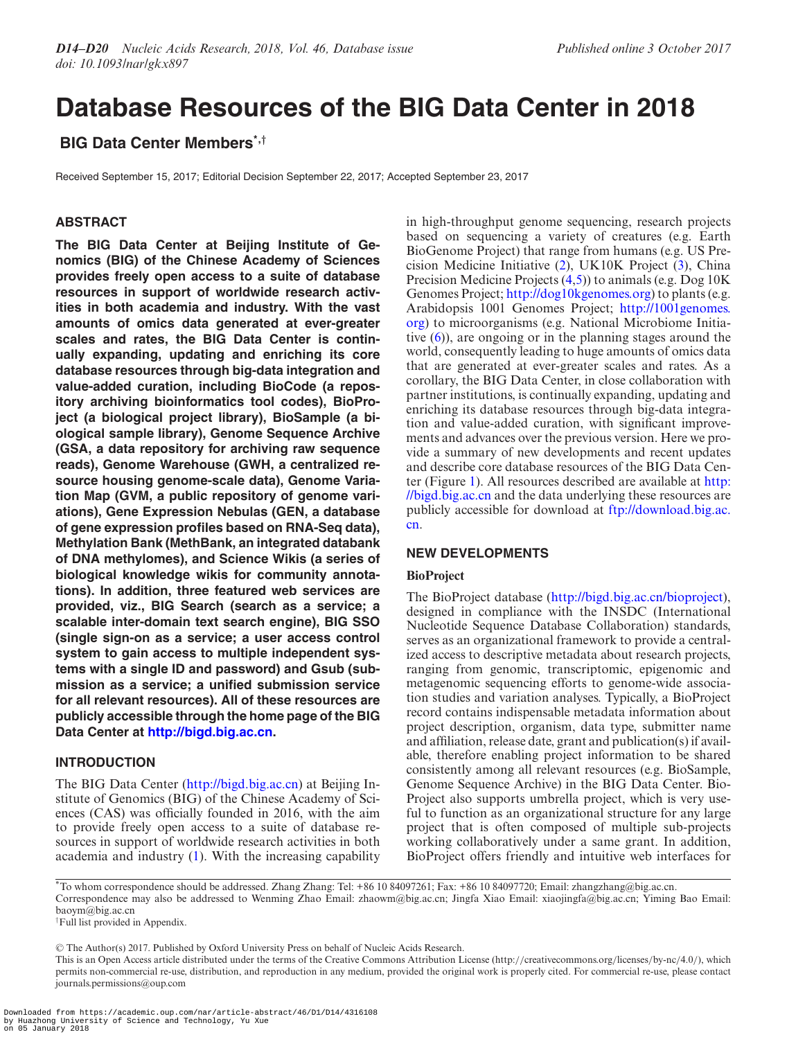# **Database Resources of the BIG Data Center in 2018**

**BIG Data Center Members\*,***†*

Received September 15, 2017; Editorial Decision September 22, 2017; Accepted September 23, 2017

# **ABSTRACT**

**The BIG Data Center at Beijing Institute of Genomics (BIG) of the Chinese Academy of Sciences provides freely open access to a suite of database resources in support of worldwide research activities in both academia and industry. With the vast amounts of omics data generated at ever-greater scales and rates, the BIG Data Center is continually expanding, updating and enriching its core database resources through big-data integration and value-added curation, including BioCode (a repository archiving bioinformatics tool codes), BioProject (a biological project library), BioSample (a biological sample library), Genome Sequence Archive (GSA, a data repository for archiving raw sequence reads), Genome Warehouse (GWH, a centralized resource housing genome-scale data), Genome Variation Map (GVM, a public repository of genome variations), Gene Expression Nebulas (GEN, a database of gene expression profiles based on RNA-Seq data), Methylation Bank (MethBank, an integrated databank of DNA methylomes), and Science Wikis (a series of biological knowledge wikis for community annotations). In addition, three featured web services are provided, viz., BIG Search (search as a service; a scalable inter-domain text search engine), BIG SSO (single sign-on as a service; a user access control system to gain access to multiple independent systems with a single ID and password) and Gsub (submission as a service; a unified submission service for all relevant resources). All of these resources are publicly accessible through the home page of the BIG Data Center at [http://bigd.big.ac.cn.](http://bigd.big.ac.cn)**

# **INTRODUCTION**

The BIG Data Center [\(http://bigd.big.ac.cn\)](http://bigd.big.ac.cn) at Beijing Institute of Genomics (BIG) of the Chinese Academy of Sciences (CAS) was officially founded in 2016, with the aim to provide freely open access to a suite of database resources in support of worldwide research activities in both academia and industry [\(1\)](#page-5-0). With the increasing capability in high-throughput genome sequencing, research projects based on sequencing a variety of creatures (e.g. Earth BioGenome Project) that range from humans (e.g. US Precision Medicine Initiative [\(2\)](#page-5-0), UK10K Project [\(3\)](#page-5-0), China Precision Medicine Projects [\(4,5\)](#page-5-0)) to animals (e.g. Dog 10K Genomes Project; [http://dog10kgenomes.org\)](http://dog10kgenomes.org) to plants (e.g. Arabidopsis 1001 Genomes Project; http://1001genomes. [org\) to microorganisms \(e.g. National Microbiome Initia](http://1001genomes.org)tive [\(6\)](#page-5-0)), are ongoing or in the planning stages around the world, consequently leading to huge amounts of omics data that are generated at ever-greater scales and rates. As a corollary, the BIG Data Center, in close collaboration with partner institutions, is continually expanding, updating and enriching its database resources through big-data integration and value-added curation, with significant improvements and advances over the previous version. Here we provide a summary of new developments and recent updates and describe core database resources of the BIG Data Center (Figure [1\)](#page-1-0). All resources described are available at http: //bigd.big.ac.cn [and the data underlying these resources are](http://bigd.big.ac.cn) [publicly accessible for download at](ftp://download.big.ac.cn) ftp://download.big.ac. cn.

# **NEW DEVELOPMENTS**

# **BioProject**

The BioProject database [\(http://bigd.big.ac.cn/bioproject\)](http://bigd.big.ac.cn/bioproject), designed in compliance with the INSDC (International Nucleotide Sequence Database Collaboration) standards, serves as an organizational framework to provide a centralized access to descriptive metadata about research projects, ranging from genomic, transcriptomic, epigenomic and metagenomic sequencing efforts to genome-wide association studies and variation analyses. Typically, a BioProject record contains indispensable metadata information about project description, organism, data type, submitter name and affiliation, release date, grant and publication(s) if available, therefore enabling project information to be shared consistently among all relevant resources (e.g. BioSample, Genome Sequence Archive) in the BIG Data Center. Bio-Project also supports umbrella project, which is very useful to function as an organizational structure for any large project that is often composed of multiple sub-projects working collaboratively under a same grant. In addition, BioProject offers friendly and intuitive web interfaces for

\*To whom correspondence should be addressed. Zhang Zhang: Tel: +86 10 84097261; Fax: +86 10 84097720; Email: zhangzhang@big.ac.cn. Correspondence may also be addressed to Wenming Zhao Email: zhaowm@big.ac.cn; Jingfa Xiao Email: xiaojingfa@big.ac.cn; Yiming Bao Email: baoym@big.ac.cn

†Full list provided in Appendix.

-<sup>C</sup> The Author(s) 2017. Published by Oxford University Press on behalf of Nucleic Acids Research.

This is an Open Access article distributed under the terms of the Creative Commons Attribution License (http://creativecommons.org/licenses/by-nc/4.0/), which permits non-commercial re-use, distribution, and reproduction in any medium, provided the original work is properly cited. For commercial re-use, please contact journals.permissions@oup.com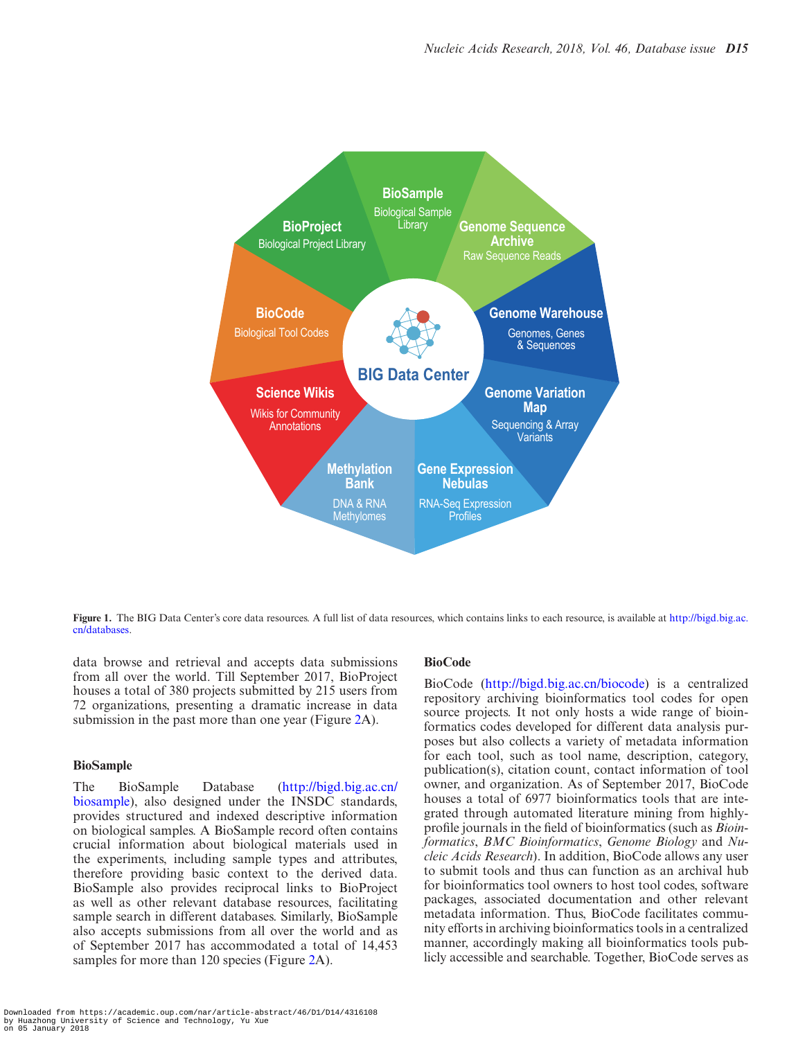<span id="page-1-0"></span>

**Figure 1.** [The BIG Data Center's core data resources. A full list of data resources, which contains links to each resource, is available at](http://bigd.big.ac.cn/databases) http://bigd.big.ac. cn/databases.

data browse and retrieval and accepts data submissions from all over the world. Till September 2017, BioProject houses a total of 380 projects submitted by 215 users from 72 organizations, presenting a dramatic increase in data submission in the past more than one year (Figure [2A](#page-2-0)).

# **BioSample**

The BioSample Database (http://bigd.big.ac.cn/ [biosample\), also designed under the INSDC standards,](http://bigd.big.ac.cn/biosample) provides structured and indexed descriptive information on biological samples. A BioSample record often contains crucial information about biological materials used in the experiments, including sample types and attributes, therefore providing basic context to the derived data. BioSample also provides reciprocal links to BioProject as well as other relevant database resources, facilitating sample search in different databases. Similarly, BioSample also accepts submissions from all over the world and as of September 2017 has accommodated a total of 14,453 samples for more than 120 species (Figure [2A](#page-2-0)).

# **BioCode**

BioCode [\(http://bigd.big.ac.cn/biocode\)](http://bigd.big.ac.cn/biocode) is a centralized repository archiving bioinformatics tool codes for open source projects. It not only hosts a wide range of bioinformatics codes developed for different data analysis purposes but also collects a variety of metadata information for each tool, such as tool name, description, category, publication(s), citation count, contact information of tool owner, and organization. As of September 2017, BioCode houses a total of 6977 bioinformatics tools that are integrated through automated literature mining from highlyprofile journals in the field of bioinformatics (such as *Bioinformatics*, *BMC Bioinformatics*, *Genome Biology* and *Nucleic Acids Research*). In addition, BioCode allows any user to submit tools and thus can function as an archival hub for bioinformatics tool owners to host tool codes, software packages, associated documentation and other relevant metadata information. Thus, BioCode facilitates community efforts in archiving bioinformatics tools in a centralized manner, accordingly making all bioinformatics tools publicly accessible and searchable. Together, BioCode serves as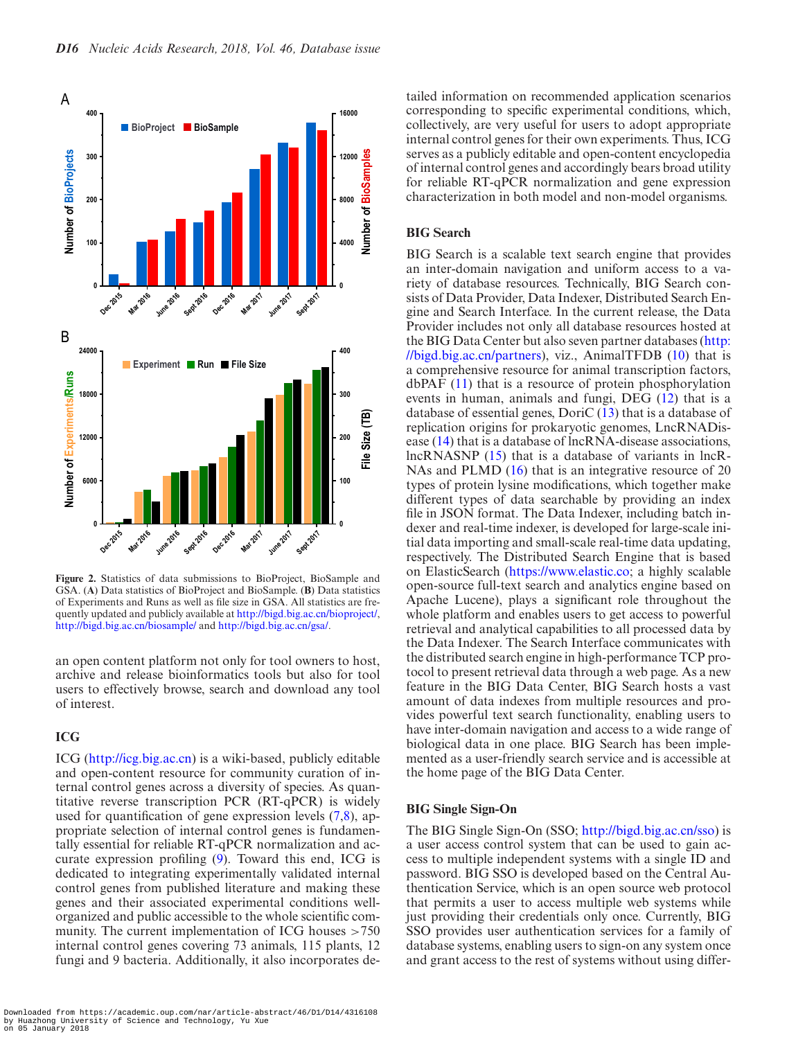<span id="page-2-0"></span>

**Figure 2.** Statistics of data submissions to BioProject, BioSample and GSA. (**A**) Data statistics of BioProject and BioSample. (**B**) Data statistics of Experiments and Runs as well as file size in GSA. All statistics are frequently updated and publicly available at [http://bigd.big.ac.cn/bioproject/,](http://bigd.big.ac.cn/bioproject/) <http://bigd.big.ac.cn/biosample/> and [http://bigd.big.ac.cn/gsa/.](http://bigd.big.ac.cn/gsa/)

an open content platform not only for tool owners to host, archive and release bioinformatics tools but also for tool users to effectively browse, search and download any tool of interest.

# **ICG**

ICG [\(http://icg.big.ac.cn\)](http://icg.big.ac.cn) is a wiki-based, publicly editable and open-content resource for community curation of internal control genes across a diversity of species. As quantitative reverse transcription PCR (RT-qPCR) is widely used for quantification of gene expression levels  $(7,8)$ , appropriate selection of internal control genes is fundamentally essential for reliable RT-qPCR normalization and accurate expression profiling [\(9\)](#page-5-0). Toward this end, ICG is dedicated to integrating experimentally validated internal control genes from published literature and making these genes and their associated experimental conditions wellorganized and public accessible to the whole scientific community. The current implementation of ICG houses >750 internal control genes covering 73 animals, 115 plants, 12 fungi and 9 bacteria. Additionally, it also incorporates de-

tailed information on recommended application scenarios corresponding to specific experimental conditions, which, collectively, are very useful for users to adopt appropriate internal control genes for their own experiments. Thus, ICG serves as a publicly editable and open-content encyclopedia of internal control genes and accordingly bears broad utility for reliable RT-qPCR normalization and gene expression characterization in both model and non-model organisms.

# **BIG Search**

BIG Search is a scalable text search engine that provides an inter-domain navigation and uniform access to a variety of database resources. Technically, BIG Search consists of Data Provider, Data Indexer, Distributed Search Engine and Search Interface. In the current release, the Data Provider includes not only all database resources hosted at [the BIG Data Center but also seven partner databases \(http:](http://bigd.big.ac.cn/partners) //bigd.big.ac.cn/partners), viz., AnimalTFDB [\(10\)](#page-5-0) that is a comprehensive resource for animal transcription factors, dbPAF [\(11\)](#page-5-0) that is a resource of protein phosphorylation events in human, animals and fungi, DEG [\(12\)](#page-5-0) that is a database of essential genes, DoriC [\(13\)](#page-5-0) that is a database of replication origins for prokaryotic genomes, LncRNADisease [\(14\)](#page-5-0) that is a database of lncRNA-disease associations, lncRNASNP [\(15\)](#page-5-0) that is a database of variants in lncR-NAs and PLMD [\(16\)](#page-5-0) that is an integrative resource of 20 types of protein lysine modifications, which together make different types of data searchable by providing an index file in JSON format. The Data Indexer, including batch indexer and real-time indexer, is developed for large-scale initial data importing and small-scale real-time data updating, respectively. The Distributed Search Engine that is based on ElasticSearch [\(https://www.elastic.co;](https://www.elastic.co) a highly scalable open-source full-text search and analytics engine based on Apache Lucene), plays a significant role throughout the whole platform and enables users to get access to powerful retrieval and analytical capabilities to all processed data by the Data Indexer. The Search Interface communicates with the distributed search engine in high-performance TCP protocol to present retrieval data through a web page. As a new feature in the BIG Data Center, BIG Search hosts a vast amount of data indexes from multiple resources and provides powerful text search functionality, enabling users to have inter-domain navigation and access to a wide range of biological data in one place. BIG Search has been implemented as a user-friendly search service and is accessible at the home page of the BIG Data Center.

#### **BIG Single Sign-On**

The BIG Single Sign-On (SSO; [http://bigd.big.ac.cn/sso\)](http://bigd.big.ac.cn/sso) is a user access control system that can be used to gain access to multiple independent systems with a single ID and password. BIG SSO is developed based on the Central Authentication Service, which is an open source web protocol that permits a user to access multiple web systems while just providing their credentials only once. Currently, BIG SSO provides user authentication services for a family of database systems, enabling users to sign-on any system once and grant access to the rest of systems without using differ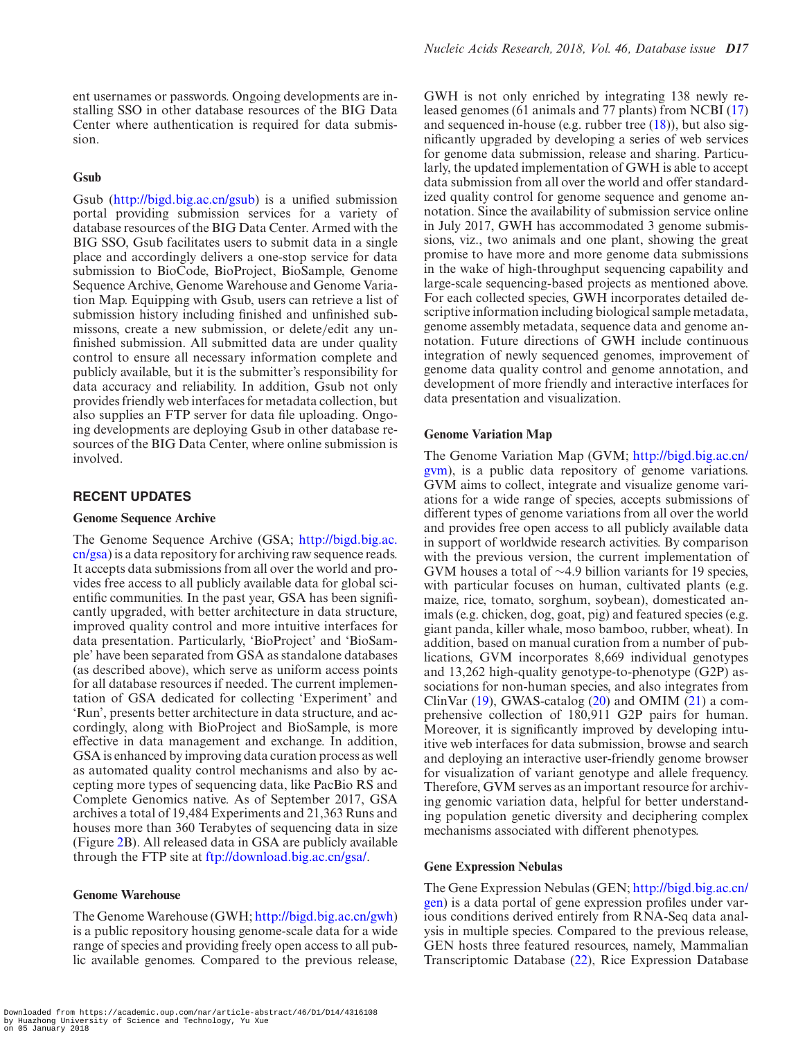ent usernames or passwords. Ongoing developments are installing SSO in other database resources of the BIG Data Center where authentication is required for data submission.

# **Gsub**

Gsub [\(http://bigd.big.ac.cn/gsub\)](http://bigd.big.ac.cn/gsub) is a unified submission portal providing submission services for a variety of database resources of the BIG Data Center. Armed with the BIG SSO, Gsub facilitates users to submit data in a single place and accordingly delivers a one-stop service for data submission to BioCode, BioProject, BioSample, Genome Sequence Archive, Genome Warehouse and Genome Variation Map. Equipping with Gsub, users can retrieve a list of submission history including finished and unfinished submissons, create a new submission, or delete/edit any unfinished submission. All submitted data are under quality control to ensure all necessary information complete and publicly available, but it is the submitter's responsibility for data accuracy and reliability. In addition, Gsub not only provides friendly web interfaces for metadata collection, but also supplies an FTP server for data file uploading. Ongoing developments are deploying Gsub in other database resources of the BIG Data Center, where online submission is involved.

# **RECENT UPDATES**

#### **Genome Sequence Archive**

The Genome Sequence Archive (GSA; http://bigd.big.ac. [cn/gsa\) is a data repository for archiving raw sequence reads.](http://bigd.big.ac.cn/gsa) It accepts data submissions from all over the world and provides free access to all publicly available data for global scientific communities. In the past year, GSA has been significantly upgraded, with better architecture in data structure, improved quality control and more intuitive interfaces for data presentation. Particularly, 'BioProject' and 'BioSample' have been separated from GSA as standalone databases (as described above), which serve as uniform access points for all database resources if needed. The current implementation of GSA dedicated for collecting 'Experiment' and 'Run', presents better architecture in data structure, and accordingly, along with BioProject and BioSample, is more effective in data management and exchange. In addition, GSA is enhanced by improving data curation process as well as automated quality control mechanisms and also by accepting more types of sequencing data, like PacBio RS and Complete Genomics native. As of September 2017, GSA archives a total of 19,484 Experiments and 21,363 Runs and houses more than 360 Terabytes of sequencing data in size (Figure [2B](#page-2-0)). All released data in GSA are publicly available through the FTP site at [ftp://download.big.ac.cn/gsa/.](ftp://download.big.ac.cn/gsa/)

# **Genome Warehouse**

The Genome Warehouse (GWH; [http://bigd.big.ac.cn/gwh\)](http://bigd.big.ac.cn/gwh) is a public repository housing genome-scale data for a wide range of species and providing freely open access to all public available genomes. Compared to the previous release, GWH is not only enriched by integrating 138 newly released genomes (61 animals and 77 plants) from NCBI [\(17\)](#page-5-0) and sequenced in-house (e.g. rubber tree [\(18\)](#page-5-0)), but also significantly upgraded by developing a series of web services for genome data submission, release and sharing. Particularly, the updated implementation of GWH is able to accept data submission from all over the world and offer standardized quality control for genome sequence and genome annotation. Since the availability of submission service online in July 2017, GWH has accommodated 3 genome submissions, viz., two animals and one plant, showing the great promise to have more and more genome data submissions in the wake of high-throughput sequencing capability and large-scale sequencing-based projects as mentioned above. For each collected species, GWH incorporates detailed descriptive information including biological sample metadata, genome assembly metadata, sequence data and genome annotation. Future directions of GWH include continuous integration of newly sequenced genomes, improvement of genome data quality control and genome annotation, and development of more friendly and interactive interfaces for data presentation and visualization.

#### **Genome Variation Map**

The Genome Variation Map (GVM; http://bigd.big.ac.cn/ [gvm\), is a public data repository of genome variations.](http://bigd.big.ac.cn/gvm) GVM aims to collect, integrate and visualize genome variations for a wide range of species, accepts submissions of different types of genome variations from all over the world and provides free open access to all publicly available data in support of worldwide research activities. By comparison with the previous version, the current implementation of GVM houses a total of ∼4.9 billion variants for 19 species, with particular focuses on human, cultivated plants (e.g. maize, rice, tomato, sorghum, soybean), domesticated animals (e.g. chicken, dog, goat, pig) and featured species (e.g. giant panda, killer whale, moso bamboo, rubber, wheat). In addition, based on manual curation from a number of publications, GVM incorporates 8,669 individual genotypes and 13,262 high-quality genotype-to-phenotype (G2P) associations for non-human species, and also integrates from ClinVar  $(19)$ , GWAS-catalog  $(20)$  and OMIM  $(21)$  a comprehensive collection of 180,911 G2P pairs for human. Moreover, it is significantly improved by developing intuitive web interfaces for data submission, browse and search and deploying an interactive user-friendly genome browser for visualization of variant genotype and allele frequency. Therefore, GVM serves as an important resource for archiving genomic variation data, helpful for better understanding population genetic diversity and deciphering complex mechanisms associated with different phenotypes.

#### **Gene Expression Nebulas**

The Gene Expression Nebulas (GEN; http://bigd.big.ac.cn/ [gen\) is a data portal of gene expression profiles under var](http://bigd.big.ac.cn/gen)ious conditions derived entirely from RNA-Seq data analysis in multiple species. Compared to the previous release, GEN hosts three featured resources, namely, Mammalian Transcriptomic Database [\(22\)](#page-5-0), Rice Expression Database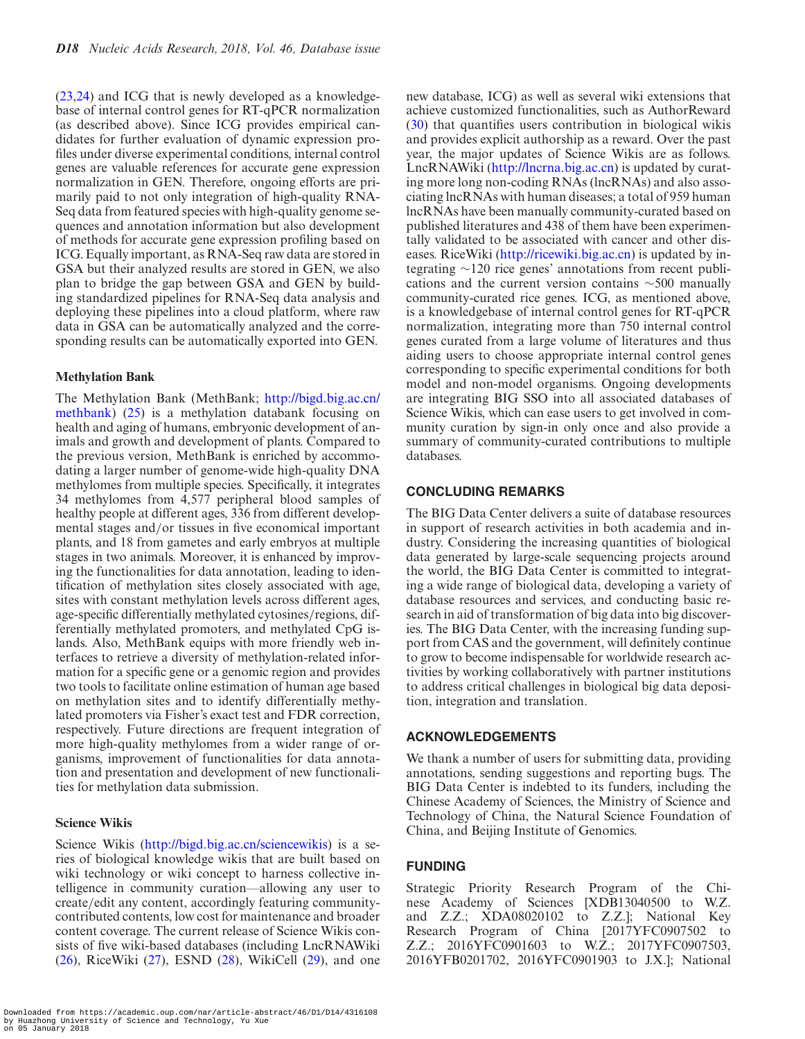[\(23,24\)](#page-5-0) and ICG that is newly developed as a knowledgebase of internal control genes for RT-qPCR normalization (as described above). Since ICG provides empirical candidates for further evaluation of dynamic expression profiles under diverse experimental conditions, internal control genes are valuable references for accurate gene expression normalization in GEN. Therefore, ongoing efforts are primarily paid to not only integration of high-quality RNA-Seq data from featured species with high-quality genome sequences and annotation information but also development of methods for accurate gene expression profiling based on ICG. Equally important, as RNA-Seq raw data are stored in GSA but their analyzed results are stored in GEN, we also plan to bridge the gap between GSA and GEN by building standardized pipelines for RNA-Seq data analysis and deploying these pipelines into a cloud platform, where raw data in GSA can be automatically analyzed and the corresponding results can be automatically exported into GEN.

#### **Methylation Bank**

The Methylation Bank (MethBank; http://bigd.big.ac.cn/ [methbank\) \(25\) is a methylation databank focusing on](http://bigd.big.ac.cn/methbank) health and aging of humans, embryonic development of animals and growth and development of plants. Compared to the previous version, MethBank is enriched by accommodating a larger number of genome-wide high-quality DNA methylomes from multiple species. Specifically, it integrates 34 methylomes from 4,577 peripheral blood samples of healthy people at different ages, 336 from different developmental stages and/or tissues in five economical important plants, and 18 from gametes and early embryos at multiple stages in two animals. Moreover, it is enhanced by improving the functionalities for data annotation, leading to identification of methylation sites closely associated with age, sites with constant methylation levels across different ages, age-specific differentially methylated cytosines/regions, differentially methylated promoters, and methylated CpG islands. Also, MethBank equips with more friendly web interfaces to retrieve a diversity of methylation-related information for a specific gene or a genomic region and provides two tools to facilitate online estimation of human age based on methylation sites and to identify differentially methylated promoters via Fisher's exact test and FDR correction, respectively. Future directions are frequent integration of more high-quality methylomes from a wider range of organisms, improvement of functionalities for data annotation and presentation and development of new functionalities for methylation data submission.

#### **Science Wikis**

Science Wikis [\(http://bigd.big.ac.cn/sciencewikis\)](http://bigd.big.ac.cn/sciencewikis) is a series of biological knowledge wikis that are built based on wiki technology or wiki concept to harness collective intelligence in community curation––allowing any user to create/edit any content, accordingly featuring communitycontributed contents, low cost for maintenance and broader content coverage. The current release of Science Wikis consists of five wiki-based databases (including LncRNAWiki  $(26)$ , RiceWiki  $(27)$ , ESND  $(28)$ , WikiCell  $(29)$ , and one

new database, ICG) as well as several wiki extensions that achieve customized functionalities, such as AuthorReward [\(30\)](#page-5-0) that quantifies users contribution in biological wikis and provides explicit authorship as a reward. Over the past year, the major updates of Science Wikis are as follows. LncRNAWiki [\(http://lncrna.big.ac.cn\)](http://lncrna.big.ac.cn) is updated by curating more long non-coding RNAs (lncRNAs) and also associating lncRNAs with human diseases; a total of 959 human lncRNAs have been manually community-curated based on published literatures and 438 of them have been experimentally validated to be associated with cancer and other diseases. RiceWiki [\(http://ricewiki.big.ac.cn\)](http://ricewiki.big.ac.cn) is updated by integrating ∼120 rice genes' annotations from recent publications and the current version contains ∼500 manually community-curated rice genes. ICG, as mentioned above, is a knowledgebase of internal control genes for RT-qPCR normalization, integrating more than 750 internal control genes curated from a large volume of literatures and thus aiding users to choose appropriate internal control genes corresponding to specific experimental conditions for both model and non-model organisms. Ongoing developments are integrating BIG SSO into all associated databases of Science Wikis, which can ease users to get involved in community curation by sign-in only once and also provide a summary of community-curated contributions to multiple databases.

### **CONCLUDING REMARKS**

The BIG Data Center delivers a suite of database resources in support of research activities in both academia and industry. Considering the increasing quantities of biological data generated by large-scale sequencing projects around the world, the BIG Data Center is committed to integrating a wide range of biological data, developing a variety of database resources and services, and conducting basic research in aid of transformation of big data into big discoveries. The BIG Data Center, with the increasing funding support from CAS and the government, will definitely continue to grow to become indispensable for worldwide research activities by working collaboratively with partner institutions to address critical challenges in biological big data deposition, integration and translation.

#### **ACKNOWLEDGEMENTS**

We thank a number of users for submitting data, providing annotations, sending suggestions and reporting bugs. The BIG Data Center is indebted to its funders, including the Chinese Academy of Sciences, the Ministry of Science and Technology of China, the Natural Science Foundation of China, and Beijing Institute of Genomics.

# **FUNDING**

Strategic Priority Research Program of the Chinese Academy of Sciences [XDB13040500 to W.Z. and Z.Z.; XDA08020102 to Z.Z.]; National Key Research Program of China [2017YFC0907502 to Z.Z.; 2016YFC0901603 to W.Z.; 2017YFC0907503, 2016YFB0201702, 2016YFC0901903 to J.X.]; National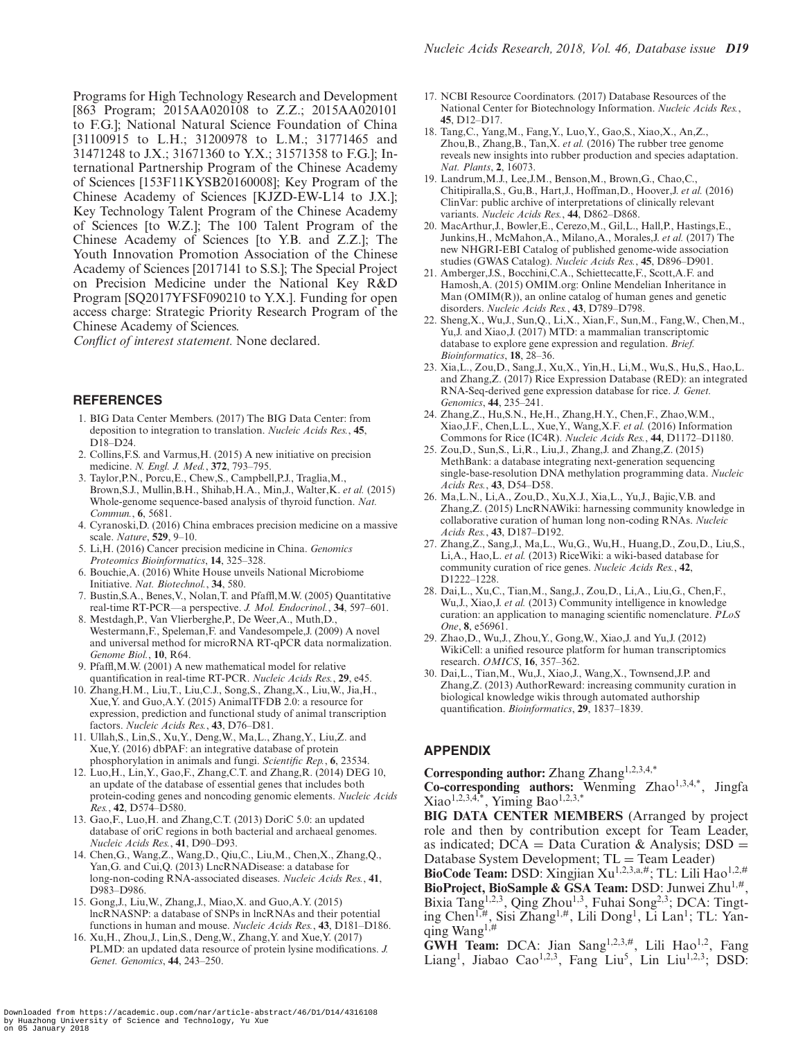<span id="page-5-0"></span>Programs for High Technology Research and Development [863 Program; 2015AA020108 to Z.Z.; 2015AA020101 to F.G.]; National Natural Science Foundation of China [31100915 to L.H.; 31200978 to L.M.; 31771465 and 31471248 to J.X.; 31671360 to Y.X.; 31571358 to F.G.]; International Partnership Program of the Chinese Academy of Sciences [153F11KYSB20160008]; Key Program of the Chinese Academy of Sciences [KJZD-EW-L14 to J.X.]; Key Technology Talent Program of the Chinese Academy of Sciences [to W.Z.]; The 100 Talent Program of the Chinese Academy of Sciences [to Y.B. and Z.Z.]; The Youth Innovation Promotion Association of the Chinese Academy of Sciences [2017141 to S.S.]; The Special Project on Precision Medicine under the National Key R&D Program [SQ2017YFSF090210 to Y.X.]. Funding for open access charge: Strategic Priority Research Program of the

Chinese Academy of Sciences.

*Conflict of interest statement.* None declared.

#### **REFERENCES**

- 1. BIG Data Center Members. (2017) The BIG Data Center: from deposition to integration to translation. *Nucleic Acids Res.*, **45**, D<sub>18</sub>–D<sub>24</sub>
- 2. Collins,F.S. and Varmus,H. (2015) A new initiative on precision medicine. *N. Engl. J. Med.*, **372**, 793–795.
- 3. Taylor,P.N., Porcu,E., Chew,S., Campbell,P.J., Traglia,M., Brown,S.J., Mullin,B.H., Shihab,H.A., Min,J., Walter,K. *et al.* (2015) Whole-genome sequence-based analysis of thyroid function. *Nat. Commun.*, **6**, 5681.
- 4. Cyranoski,D. (2016) China embraces precision medicine on a massive scale. *Nature*, **529**, 9–10.
- 5. Li,H. (2016) Cancer precision medicine in China. *Genomics Proteomics Bioinformatics*, **14**, 325–328.
- 6. Bouchie,A. (2016) White House unveils National Microbiome Initiative. *Nat. Biotechnol.*, **34**, 580.
- 7. Bustin,S.A., Benes,V., Nolan,T. and Pfaffl,M.W. (2005) Quantitative real-time RT-PCR––a perspective. *J. Mol. Endocrinol.*, **34**, 597–601.
- 8. Mestdagh,P., Van Vlierberghe,P., De Weer,A., Muth,D., Westermann,F., Speleman,F. and Vandesompele,J. (2009) A novel and universal method for microRNA RT-qPCR data normalization. *Genome Biol.*, **10**, R64.
- 9. Pfaffl,M.W. (2001) A new mathematical model for relative quantification in real-time RT-PCR. *Nucleic Acids Res.*, **29**, e45.
- 10. Zhang,H.M., Liu,T., Liu,C.J., Song,S., Zhang,X., Liu,W., Jia,H., Xue,Y. and Guo,A.Y. (2015) AnimalTFDB 2.0: a resource for expression, prediction and functional study of animal transcription factors. *Nucleic Acids Res.*, **43**, D76–D81.
- 11. Ullah,S., Lin,S., Xu,Y., Deng,W., Ma,L., Zhang,Y., Liu,Z. and Xue,Y. (2016) dbPAF: an integrative database of protein phosphorylation in animals and fungi. *Scientific Rep.*, **6**, 23534.
- 12. Luo,H., Lin,Y., Gao,F., Zhang,C.T. and Zhang,R. (2014) DEG 10, an update of the database of essential genes that includes both protein-coding genes and noncoding genomic elements. *Nucleic Acids Res.*, **42**, D574–D580.
- 13. Gao,F., Luo,H. and Zhang,C.T. (2013) DoriC 5.0: an updated database of oriC regions in both bacterial and archaeal genomes. *Nucleic Acids Res.*, **41**, D90–D93.
- 14. Chen,G., Wang,Z., Wang,D., Qiu,C., Liu,M., Chen,X., Zhang,Q., Yan,G. and Cui,Q. (2013) LncRNADisease: a database for long-non-coding RNA-associated diseases. *Nucleic Acids Res.*, **41**, D983–D986.
- 15. Gong,J., Liu,W., Zhang,J., Miao,X. and Guo,A.Y. (2015) lncRNASNP: a database of SNPs in lncRNAs and their potential functions in human and mouse. *Nucleic Acids Res.*, **43**, D181–D186.
- 16. Xu,H., Zhou,J., Lin,S., Deng,W., Zhang,Y. and Xue,Y. (2017) PLMD: an updated data resource of protein lysine modifications. *J. Genet. Genomics*, **44**, 243–250.
- 17. NCBI Resource Coordinators. (2017) Database Resources of the National Center for Biotechnology Information. *Nucleic Acids Res.*, **45**, D12–D17.
- 18. Tang,C., Yang,M., Fang,Y., Luo,Y., Gao,S., Xiao,X., An,Z., Zhou,B., Zhang,B., Tan,X. *et al.* (2016) The rubber tree genome reveals new insights into rubber production and species adaptation. *Nat. Plants*, **2**, 16073.
- 19. Landrum,M.J., Lee,J.M., Benson,M., Brown,G., Chao,C., Chitipiralla,S., Gu,B., Hart,J., Hoffman,D., Hoover,J. *et al.* (2016) ClinVar: public archive of interpretations of clinically relevant variants. *Nucleic Acids Res.*, **44**, D862–D868.
- 20. MacArthur,J., Bowler,E., Cerezo,M., Gil,L., Hall,P., Hastings,E., Junkins,H., McMahon,A., Milano,A., Morales,J. *et al.* (2017) The new NHGRI-EBI Catalog of published genome-wide association studies (GWAS Catalog). *Nucleic Acids Res.*, **45**, D896–D901.
- 21. Amberger,J.S., Bocchini,C.A., Schiettecatte,F., Scott,A.F. and Hamosh,A. (2015) OMIM.org: Online Mendelian Inheritance in Man (OMIM(R)), an online catalog of human genes and genetic disorders. *Nucleic Acids Res.*, **43**, D789–D798.
- 22. Sheng,X., Wu,J., Sun,Q., Li,X., Xian,F., Sun,M., Fang,W., Chen,M., Yu,J. and Xiao,J. (2017) MTD: a mammalian transcriptomic database to explore gene expression and regulation. *Brief. Bioinformatics*, **18**, 28–36.
- 23. Xia,L., Zou,D., Sang,J., Xu,X., Yin,H., Li,M., Wu,S., Hu,S., Hao,L. and Zhang,Z. (2017) Rice Expression Database (RED): an integrated RNA-Seq-derived gene expression database for rice. *J. Genet. Genomics*, **44**, 235–241.
- 24. Zhang,Z., Hu,S.N., He,H., Zhang,H.Y., Chen,F., Zhao,W.M., Xiao,J.F., Chen,L.L., Xue,Y., Wang,X.F. *et al.* (2016) Information Commons for Rice (IC4R). *Nucleic Acids Res.*, **44**, D1172–D1180.
- 25. Zou,D., Sun,S., Li,R., Liu,J., Zhang,J. and Zhang,Z. (2015) MethBank: a database integrating next-generation sequencing single-base-resolution DNA methylation programming data. *Nucleic Acids Res.*, **43**, D54–D58.
- 26. Ma,L.N., Li,A., Zou,D., Xu,X.J., Xia,L., Yu,J., Bajic,V.B. and Zhang,Z. (2015) LncRNAWiki: harnessing community knowledge in collaborative curation of human long non-coding RNAs. *Nucleic Acids Res.*, **43**, D187–D192.
- 27. Zhang,Z., Sang,J., Ma,L., Wu,G., Wu,H., Huang,D., Zou,D., Liu,S., Li,A., Hao,L. *et al.* (2013) RiceWiki: a wiki-based database for community curation of rice genes. *Nucleic Acids Res.*, **42**, D1222–1228.
- 28. Dai,L., Xu,C., Tian,M., Sang,J., Zou,D., Li,A., Liu,G., Chen,F., Wu,J., Xiao,J. *et al.* (2013) Community intelligence in knowledge curation: an application to managing scientific nomenclature. *PLoS One*, **8**, e56961.
- 29. Zhao,D., Wu,J., Zhou,Y., Gong,W., Xiao,J. and Yu,J. (2012) WikiCell: a unified resource platform for human transcriptomics research. *OMICS*, **16**, 357–362.
- 30. Dai,L., Tian,M., Wu,J., Xiao,J., Wang,X., Townsend,J.P. and Zhang,Z. (2013) AuthorReward: increasing community curation in biological knowledge wikis through automated authorship quantification. *Bioinformatics*, **29**, 1837–1839.

# **APPENDIX**

Corresponding author: Zhang Zhang<sup>1,2,3,4,\*</sup>

Co-corresponding authors: Wenming Zhao<sup>1,3,4,\*</sup>, Jingfa Xiao<sup>1,2,3,4,\*</sup>, Yiming Bao<sup>1,2,3,\*</sup>

**BIG DATA CENTER MEMBERS** (Arranged by project role and then by contribution except for Team Leader, as indicated;  $DCA = Data$  Curation & Analysis;  $DSD =$ Database System Development; TL = Team Leader)

BioCode Team: DSD: Xingjian Xu<sup>1,2,3,a,#</sup>; TL: Lili Hao<sup>1,2,#</sup> BioProject, BioSample & GSA Team: DSD: Junwei Zhu<sup>1,#</sup>, Bixia Tang<sup>1,2,3</sup>, Qing Zhou<sup>1,3</sup>, Fuhai Song<sup>2,3</sup>; DCA: Tingting Chen<sup>1,#</sup>, Sisi Zhang<sup>1,#</sup>, Lili Dong<sup>1</sup>, Li Lan<sup>1</sup>; TL: Yanqing Wang<sup>1,#</sup>

GWH Team: DCA: Jian Sang<sup>1,2,3,#</sup>, Lili Hao<sup>1,2</sup>, Fang Liang<sup>1</sup>, Jiabao Cao<sup>1,2,3</sup>, Fang Liu<sup>5</sup>, Lin Liu<sup>1,2,3</sup>; DSD: